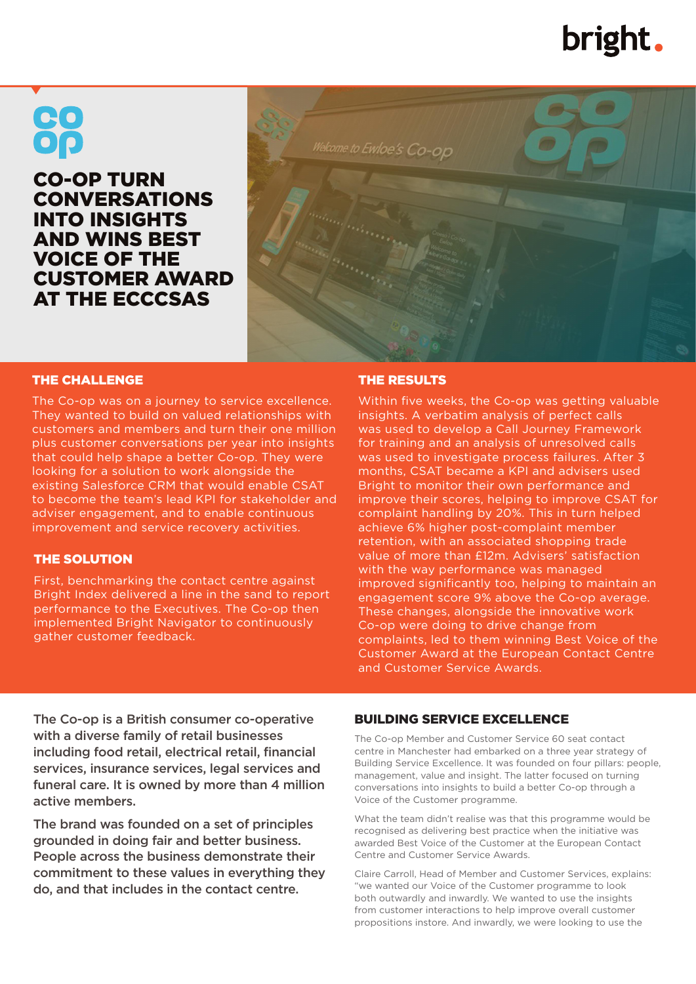# bright.

# <u>CO</u>

CO-OP TURN CONVERSATIONS INTO INSIGHTS AND WINS BEST VOICE OF THE CUSTOMER AWARD AT THE ECCCSAS



#### THE CHALLENGE

The Co-op was on a journey to service excellence. They wanted to build on valued relationships with customers and members and turn their one million plus customer conversations per year into insights that could help shape a better Co-op. They were looking for a solution to work alongside the existing Salesforce CRM that would enable CSAT to become the team's lead KPI for stakeholder and adviser engagement, and to enable continuous improvement and service recovery activities.

#### THE SOLUTION

First, benchmarking the contact centre against Bright Index delivered a line in the sand to report performance to the Executives. The Co-op then implemented Bright Navigator to continuously gather customer feedback.

#### THE RESULTS

Within five weeks, the Co-op was getting valuable insights. A verbatim analysis of perfect calls was used to develop a Call Journey Framework for training and an analysis of unresolved calls was used to investigate process failures. After 3 months, CSAT became a KPI and advisers used Bright to monitor their own performance and improve their scores, helping to improve CSAT for complaint handling by 20%. This in turn helped achieve 6% higher post-complaint member retention, with an associated shopping trade value of more than £12m. Advisers' satisfaction with the way performance was managed improved significantly too, helping to maintain an engagement score 9% above the Co-op average. These changes, alongside the innovative work Co-op were doing to drive change from complaints, led to them winning Best Voice of the Customer Award at the European Contact Centre and Customer Service Awards.

The Co-op is a British consumer co-operative with a diverse family of retail businesses including food retail, electrical retail, financial services, insurance services, legal services and funeral care. It is owned by more than 4 million active members.

The brand was founded on a set of principles grounded in doing fair and better business. People across the business demonstrate their commitment to these values in everything they do, and that includes in the contact centre.

#### BUILDING SERVICE EXCELLENCE

The Co-op Member and Customer Service 60 seat contact centre in Manchester had embarked on a three year strategy of Building Service Excellence. It was founded on four pillars: people, management, value and insight. The latter focused on turning conversations into insights to build a better Co-op through a Voice of the Customer programme.

What the team didn't realise was that this programme would be recognised as delivering best practice when the initiative was awarded Best Voice of the Customer at the European Contact Centre and Customer Service Awards.

Claire Carroll, Head of Member and Customer Services, explains: "we wanted our Voice of the Customer programme to look both outwardly and inwardly. We wanted to use the insights from customer interactions to help improve overall customer propositions instore. And inwardly, we were looking to use the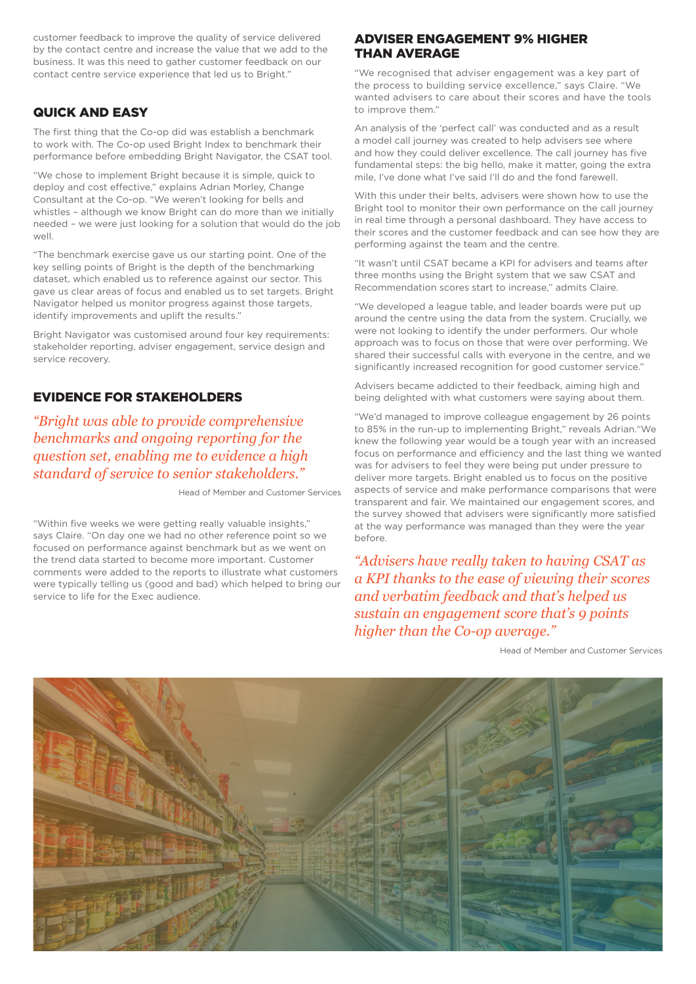customer feedback to improve the quality of service delivered by the contact centre and increase the value that we add to the business. It was this need to gather customer feedback on our contact centre service experience that led us to Bright."

#### QUICK AND EASY

The first thing that the Co-op did was establish a benchmark to work with. The Co-op used Bright Index to benchmark their performance before embedding Bright Navigator, the CSAT tool.

"We chose to implement Bright because it is simple, quick to deploy and cost effective," explains Adrian Morley, Change Consultant at the Co-op. "We weren't looking for bells and whistles – although we know Bright can do more than we initially needed – we were just looking for a solution that would do the job well.

"The benchmark exercise gave us our starting point. One of the key selling points of Bright is the depth of the benchmarking dataset, which enabled us to reference against our sector. This gave us clear areas of focus and enabled us to set targets. Bright Navigator helped us monitor progress against those targets, identify improvements and uplift the results."

Bright Navigator was customised around four key requirements: stakeholder reporting, adviser engagement, service design and service recovery.

## EVIDENCE FOR STAKEHOLDERS

*"Bright was able to provide comprehensive benchmarks and ongoing reporting for the question set, enabling me to evidence a high standard of service to senior stakeholders."*

Head of Member and Customer Services

"Within five weeks we were getting really valuable insights," says Claire. "On day one we had no other reference point so we focused on performance against benchmark but as we went on the trend data started to become more important. Customer comments were added to the reports to illustrate what customers were typically telling us (good and bad) which helped to bring our service to life for the Exec audience.

#### ADVISER ENGAGEMENT 9% HIGHER THAN AVERAGE

"We recognised that adviser engagement was a key part of the process to building service excellence," says Claire. "We wanted advisers to care about their scores and have the tools to improve them<sup>"</sup>

An analysis of the 'perfect call' was conducted and as a result a model call journey was created to help advisers see where and how they could deliver excellence. The call journey has five fundamental steps: the big hello, make it matter, going the extra mile, I've done what I've said I'll do and the fond farewell.

With this under their belts, advisers were shown how to use the Bright tool to monitor their own performance on the call journey in real time through a personal dashboard. They have access to their scores and the customer feedback and can see how they are performing against the team and the centre.

"It wasn't until CSAT became a KPI for advisers and teams after three months using the Bright system that we saw CSAT and Recommendation scores start to increase," admits Claire.

"We developed a league table, and leader boards were put up around the centre using the data from the system. Crucially, we were not looking to identify the under performers. Our whole approach was to focus on those that were over performing. We shared their successful calls with everyone in the centre, and we significantly increased recognition for good customer service.'

Advisers became addicted to their feedback, aiming high and being delighted with what customers were saying about them.

"We'd managed to improve colleague engagement by 26 points to 85% in the run-up to implementing Bright," reveals Adrian."We knew the following year would be a tough year with an increased focus on performance and efficiency and the last thing we wanted was for advisers to feel they were being put under pressure to deliver more targets. Bright enabled us to focus on the positive aspects of service and make performance comparisons that were transparent and fair. We maintained our engagement scores, and the survey showed that advisers were significantly more satisfied at the way performance was managed than they were the year before.

*"Advisers have really taken to having CSAT as a KPI thanks to the ease of viewing their scores and verbatim feedback and that's helped us sustain an engagement score that's 9 points higher than the Co-op average."*

Head of Member and Customer Services